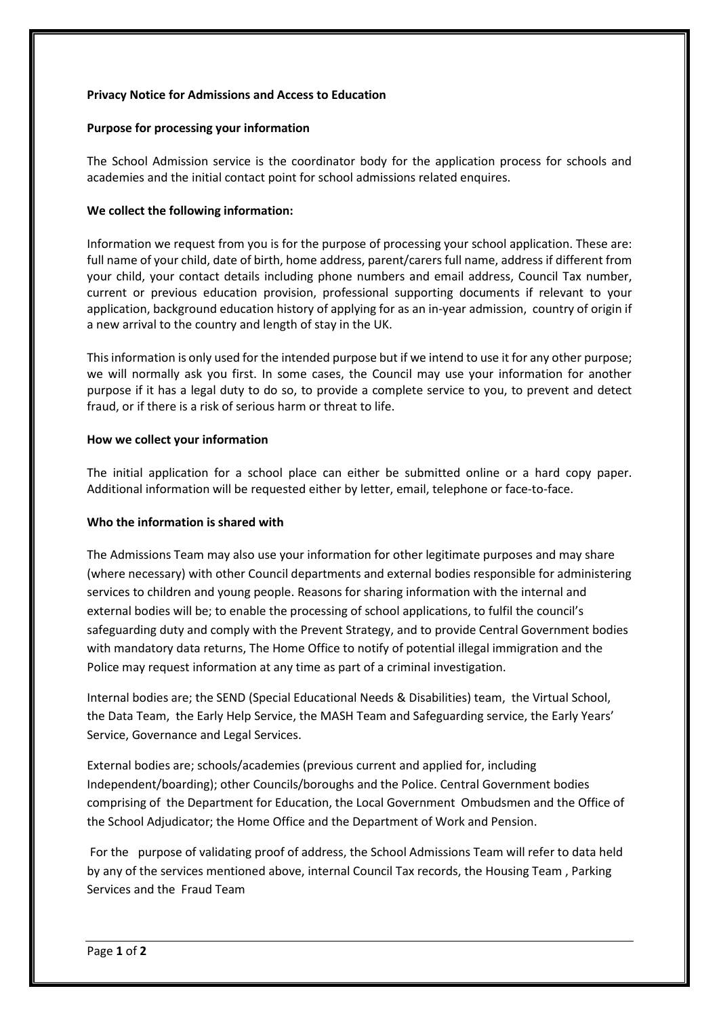# **Privacy Notice for Admissions and Access to Education**

# **Purpose for processing your information**

The School Admission service is the coordinator body for the application process for schools and academies and the initial contact point for school admissions related enquires.

# **We collect the following information:**

Information we request from you is for the purpose of processing your school application. These are: full name of your child, date of birth, home address, parent/carers full name, address if different from your child, your contact details including phone numbers and email address, Council Tax number, current or previous education provision, professional supporting documents if relevant to your application, background education history of applying for as an in-year admission, country of origin if a new arrival to the country and length of stay in the UK.

This information is only used for the intended purpose but if we intend to use it for any other purpose; we will normally ask you first. In some cases, the Council may use your information for another purpose if it has a legal duty to do so, to provide a complete service to you, to prevent and detect fraud, or if there is a risk of serious harm or threat to life.

# **How we collect your information**

The initial application for a school place can either be submitted online or a hard copy paper. Additional information will be requested either by letter, email, telephone or face-to-face.

# **Who the information is shared with**

The Admissions Team may also use your information for other legitimate purposes and may share (where necessary) with other Council departments and external bodies responsible for administering services to children and young people. Reasons for sharing information with the internal and external bodies will be; to enable the processing of school applications, to fulfil the council's safeguarding duty and comply with the Prevent Strategy, and to provide Central Government bodies with mandatory data returns, The Home Office to notify of potential illegal immigration and the Police may request information at any time as part of a criminal investigation.

Internal bodies are; the SEND (Special Educational Needs & Disabilities) team, the Virtual School, the Data Team, the Early Help Service, the MASH Team and Safeguarding service, the Early Years' Service, Governance and Legal Services.

External bodies are; schools/academies (previous current and applied for, including Independent/boarding); other Councils/boroughs and the Police. Central Government bodies comprising of the Department for Education, the Local Government Ombudsmen and the Office of the School Adjudicator; the Home Office and the Department of Work and Pension.

For the purpose of validating proof of address, the School Admissions Team will refer to data held by any of the services mentioned above, internal Council Tax records, the Housing Team , Parking Services and the Fraud Team